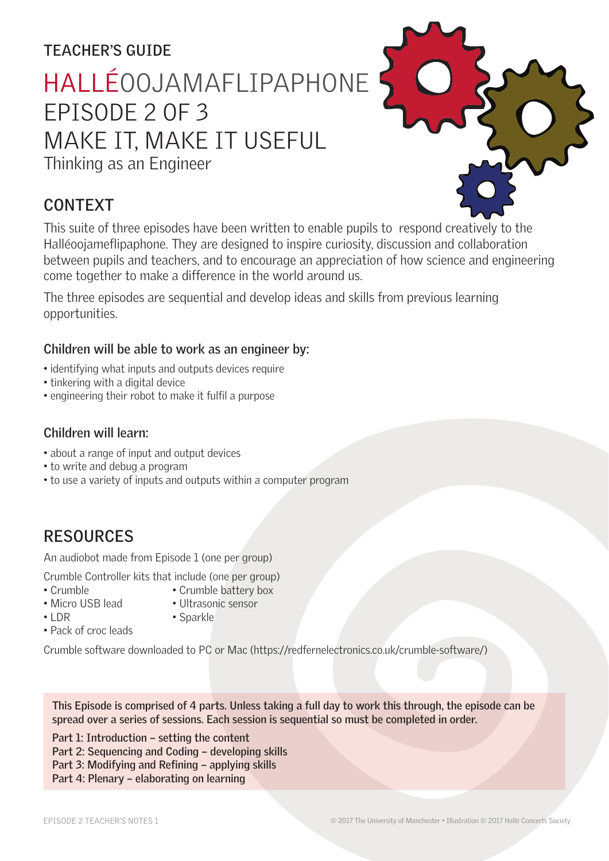# **TEACHER'S GUIDE**

HALLÉOOJAMAFLIPAPHONE EPISODE 2 OF 3

# MAKE IT, MAKE IT USEFUL

Thinking as an Engineer

# **CONTEXT**

This suite of three episodes have been written to enable pupils to respond creatively to the Halléoojameflipaphone. They are designed to inspire curiosity, discussion and collaboration between pupils and teachers, and to encourage an appreciation of how science and engineering come together to make a difference in the world around us.

The three episodes are sequential and develop ideas and skills from previous learning opportunities.

### **Children will be able to work as an engineer by:**

- identifying what inputs and outputs devices require
- tinkering with a digital device
- engineering their robot to make it fulfil a purpose

### **Children will learn:**

- about a range of input and output devices
- to write and debug a program
- to use a variety of inputs and outputs within a computer program

# **RESOURCES**

An audiobot made from Episode 1 (one per group)

Crumble Controller kits that include (one per group)

- 
- Crumble Crumble battery box • Micro USB lead • Ultrasonic sensor
- 
- LDR Sparkle
- Pack of croc leads

Crumble software downloaded to PC or Mac (https://redfernelectronics.co.uk/crumble-software/)

**This Episode is comprised of 4 parts. Unless taking a full day to work this through, the episode can be spread over a series of sessions. Each session is sequential so must be completed in order.** 

**Part 1: Introduction – setting the content Part 2: Sequencing and Coding – developing skills** Part 3: Modifying and Refining - applying skills **Part 4: Plenary – elaborating on learning**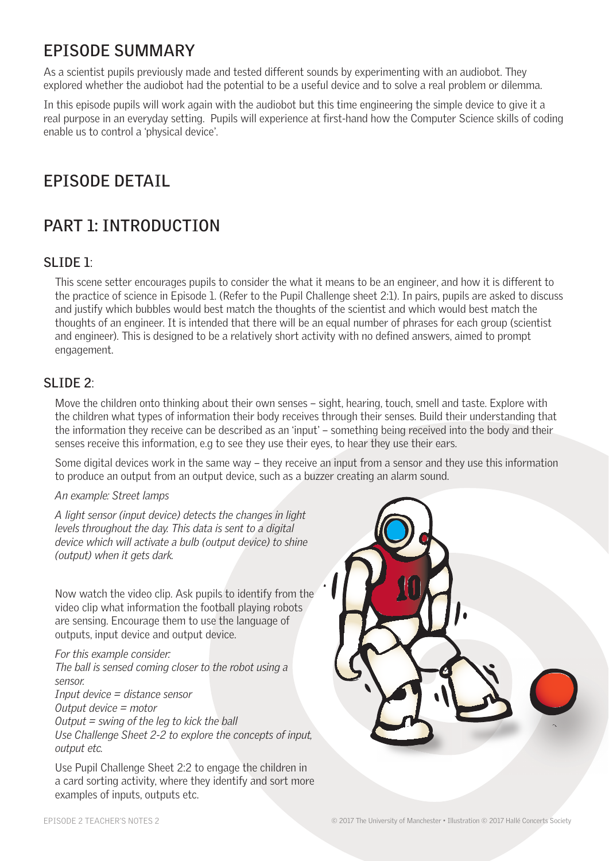# **EPISODE SUMMARY**

As a scientist pupils previously made and tested different sounds by experimenting with an audiobot. They explored whether the audiobot had the potential to be a useful device and to solve a real problem or dilemma.

In this episode pupils will work again with the audiobot but this time engineering the simple device to give it a real purpose in an everyday setting. Pupils will experience at first-hand how the Computer Science skills of coding enable us to control a 'physical device'.

# **EPISODE DETAIL**

# **PART 1: INTRODUCTION**

### **SLIDE 1**:

This scene setter encourages pupils to consider the what it means to be an engineer, and how it is different to the practice of science in Episode 1. (Refer to the Pupil Challenge sheet 2:1). In pairs, pupils are asked to discuss and justify which bubbles would best match the thoughts of the scientist and which would best match the thoughts of an engineer. It is intended that there will be an equal number of phrases for each group (scientist and engineer). This is designed to be a relatively short activity with no defined answers, aimed to prompt engagement.

### **SLIDE 2**:

Move the children onto thinking about their own senses – sight, hearing, touch, smell and taste. Explore with the children what types of information their body receives through their senses. Build their understanding that the information they receive can be described as an 'input' – something being received into the body and their senses receive this information, e.g to see they use their eyes, to hear they use their ears.

Some digital devices work in the same way – they receive an input from a sensor and they use this information to produce an output from an output device, such as a buzzer creating an alarm sound.

#### *An example: Street lamps*

*A light sensor (input device) detects the changes in light levels throughout the day. This data is sent to a digital device which will activate a bulb (output device) to shine (output) when it gets dark.*

Now watch the video clip. Ask pupils to identify from the video clip what information the football playing robots are sensing. Encourage them to use the language of outputs, input device and output device.

*For this example consider: The ball is sensed coming closer to the robot using a sensor. Input device = distance sensor Output device = motor Output = swing of the leg to kick the ball Use Challenge Sheet 2-2 to explore the concepts of input, output etc.*

Use Pupil Challenge Sheet 2:2 to engage the children in a card sorting activity, where they identify and sort more examples of inputs, outputs etc.



EPISODE 2 TEACHER'S NOTES 2 © 2017 The University of Manchester • Illustration © 2017 Hallé Concerts Society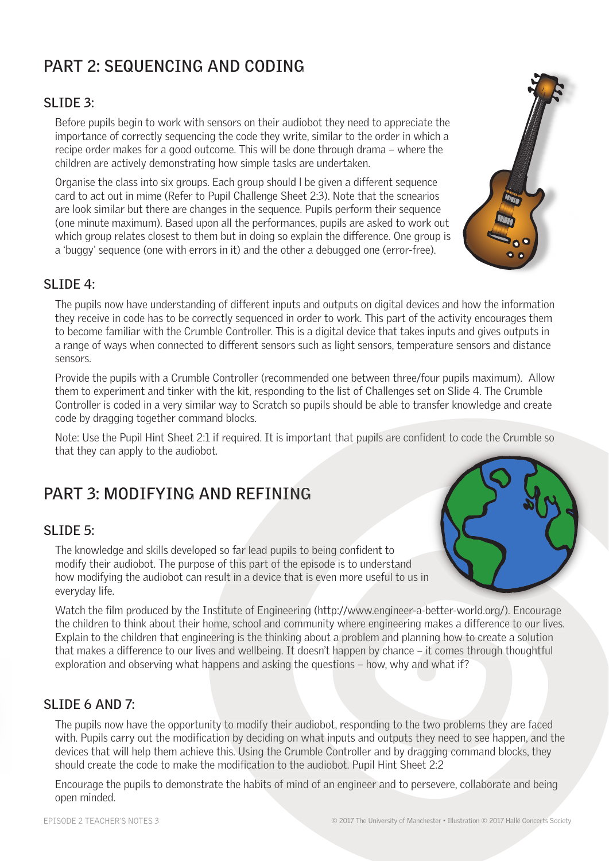# **PART 2: SEQUENCING AND CODING**

### **SLIDE 3:**

Before pupils begin to work with sensors on their audiobot they need to appreciate the importance of correctly sequencing the code they write, similar to the order in which a recipe order makes for a good outcome. This will be done through drama – where the children are actively demonstrating how simple tasks are undertaken.

Organise the class into six groups. Each group should l be given a different sequence card to act out in mime (Refer to Pupil Challenge Sheet 2:3). Note that the scnearios are look similar but there are changes in the sequence. Pupils perform their sequence (one minute maximum). Based upon all the performances, pupils are asked to work out which group relates closest to them but in doing so explain the difference. One group is a 'buggy' sequence (one with errors in it) and the other a debugged one (error-free).



### **SLIDE 4:**

The pupils now have understanding of different inputs and outputs on digital devices and how the information they receive in code has to be correctly sequenced in order to work. This part of the activity encourages them to become familiar with the Crumble Controller. This is a digital device that takes inputs and gives outputs in a range of ways when connected to different sensors such as light sensors, temperature sensors and distance sensors.

Provide the pupils with a Crumble Controller (recommended one between three/four pupils maximum). Allow them to experiment and tinker with the kit, responding to the list of Challenges set on Slide 4. The Crumble Controller is coded in a very similar way to Scratch so pupils should be able to transfer knowledge and create code by dragging together command blocks.

Note: Use the Pupil Hint Sheet 2:1 if required. It is important that pupils are confident to code the Crumble so that they can apply to the audiobot.

# **PART 3: MODIFYING AND REFINING**

### **SLIDE 5:**

The knowledge and skills developed so far lead pupils to being confident to modify their audiobot. The purpose of this part of the episode is to understand how modifying the audiobot can result in a device that is even more useful to us in everyday life.

Watch the film produced by the Institute of Engineering (http://www.engineer-a-better-world.org/). Encourage the children to think about their home, school and community where engineering makes a difference to our lives. Explain to the children that engineering is the thinking about a problem and planning how to create a solution that makes a difference to our lives and wellbeing. It doesn't happen by chance – it comes through thoughtful exploration and observing what happens and asking the questions – how, why and what if?

### **SLIDE 6 AND 7:**

The pupils now have the opportunity to modify their audiobot, responding to the two problems they are faced with. Pupils carry out the modification by deciding on what inputs and outputs they need to see happen, and the devices that will help them achieve this. Using the Crumble Controller and by dragging command blocks, they should create the code to make the modification to the audiobot. Pupil Hint Sheet 2:2

Encourage the pupils to demonstrate the habits of mind of an engineer and to persevere, collaborate and being open minded.